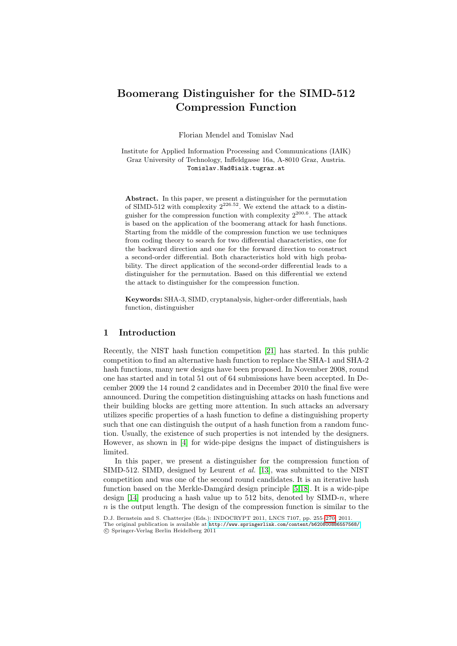# Boomerang Distinguisher for the SIMD-512 Compression Function

Florian Mendel and Tomislav Nad

Institute for Applied Information Processing and Communications (IAIK) Graz University of Technology, Inffeldgasse 16a, A-8010 Graz, Austria. Tomislav.Nad@iaik.tugraz.at

Abstract. In this paper, we present a distinguisher for the permutation of SIMD-512 with complexity  $2^{226.52}$ . We extend the attack to a distinguisher for the compression function with complexity  $2^{200.6}$ . The attack is based on the application of the boomerang attack for hash functions. Starting from the middle of the compression function we use techniques from coding theory to search for two differential characteristics, one for the backward direction and one for the forward direction to construct a second-order differential. Both characteristics hold with high probability. The direct application of the second-order differential leads to a distinguisher for the permutation. Based on this differential we extend the attack to distinguisher for the compression function.

Keywords: SHA-3, SI[MD](#page-13-0), cryptanalysis, higher-order differentials, hash function, distinguisher

# 1 Introduction

Recently, the NIST hash function competition [21] has started. In this public competition to find an alternative hash function to replace the SHA-1 and SHA-2 hash functions, many new designs have been proposed. In November 2008, round one has started and in total 51 out of 64 submissions have been accepted. In Dece[mb](#page-12-0)er 2009 the 14 round 2 candidates and in December 2010 the final five were announced. During the competition distinguishing attacks on hash functions and their building blocks are getting more attention. In such attacks an adversary utilizes specific properties [of](#page-12-1) a hash function to define a distinguishing property such that one can distinguish the output of a hash function from a random function. Usually, the existence of such [p](#page-12-2)[rop](#page-13-1)erties is not intended by the designers. However, as shown in [4] for wide-pipe designs the impact of distinguishers is limited.

In this paper, we present a distinguisher for the compression function of SIMD-512[. SIMD, designed by Leurent](http://www.springerlink.com/content/b620800886557568/) et al. [\[13](#page-15-0)], was submitted to the NIST competition and was one of the second round candidates. It is an iterative hash function based on the Merkle-Damgård design principle  $[5,18]$ . It is a wide-pipe design [14] producing a hash value up to 512 bits, denoted by  $SIMD-n$ , where  $n$  is the output length. The design of the compression function is similar to the

D.J. Bernstein and S. Chatterjee (Eds.): INDOCRYPT 2011, LNCS 7107, pp. 255–270, 2011. The original publication is available at http://www.springerlink.com/content/b620800886557568/ c Springer-Verlag Berlin Heidelberg 2011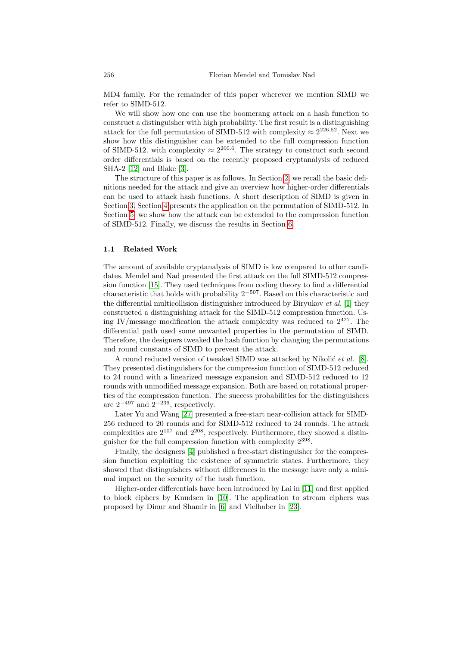MD4 family. For the remainder of this paper wherever we mention SIMD we refer to SIMD-512.

We will show how one can use the boomerang attack on a hash function to c[on](#page-12-3)struct a distinguisher with hi[gh](#page-2-0) probability. The first result is a distinguishing attack for the full permutation of SIMD-512 with complexity  $\approx 2^{226.52}$ . Next we show how this distinguisher can be extended to the full compression function of SIMD-512. with complexity  $\approx 2^{200.6}$ . The strategy to construct such second order differentials is based on the recently proposed cryptanalysis of reduced SHA-2 [12] and Blake [3].

The structure of this paper is a[s f](#page-11-0)ollows. In Section 2, we recall the basic definitions needed for the attack and give an overview how higher-order differentials can be used to attack hash functions. A short description of SIMD is given in Section 3. Section 4 presents the application on the permutation of SIMD-512. In Section 5, we show how the attack can be extended to the compression function of SIMD-512. Finally, we discuss the results in Section 6.

#### 1.1 Related Work

The amount of available cryptanalysis of SIMD is low compared to other candidates. Mendel and Nad presented the first attack on the full SIMD-512 compression function [15]. They used techniques from coding theory to find a differential characteristic that holds with probability  $2^{-507}$ . Based on this characteristic and the differential multicollision distinguisher introduced b[y B](#page-12-4)iryukov et al. [1] they constructed a distinguishing attack for the SIMD-512 compression function. Using IV/message modification the attack complexity was reduced to  $2^{427}$ . The differential path used some unwanted properties in the permutation of SIMD. Therefore, the designers tweaked the hash function by changing the permutations and round constants of SIMD to prevent the attack.

[A](#page-13-2) round reduced version of tweaked SIMD was attacked by Nikolić *et al.* [8]. They presented distinguishers for the compression function of SIMD-512 reduced to 24 round with a linearized message expansion and SIMD-512 reduced to 12 rounds with unmodified message expansion. Both are based on rotational properties [of](#page-12-0) the compression function. The success probabilities for the distinguishers are  $2^{-497}$  and  $2^{-236}$ , respectively.

Later Yu and Wang [27] presented a free-start near-collision attack for SIMD-256 reduced to 20 rounds and for SIMD-512 reduced to 24 rounds. The attack complexities are  $2^{107}$  and  $2^{208}$ , respect[ivel](#page-12-5)y. Furthermore, they showed a distinguisher for t[he fu](#page-12-6)ll compression function with complexity  $2^{398}$ .

Finally, th[e d](#page-12-7)esigners [4] publis[hed](#page-13-3) a free-start distinguisher for the compression function exploiting the existence of symmetric states. Furthermore, they showed that distinguishers without differences in the message have only a minimal impact on the security of the hash function.

Higher-order differentials have been introduced by Lai in [11] and first applied to block ciphers by Knudsen in [10]. The application to stream ciphers was proposed by Dinur and Shamir in [6] and Vielhaber in [23].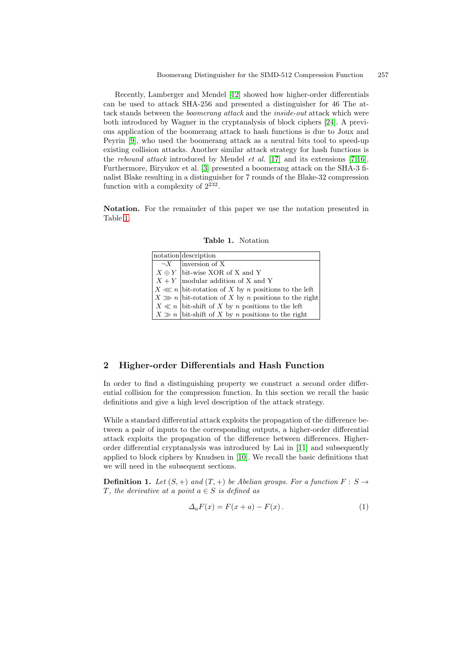Recently, Lamberger and Mendel [12] showed how higher-order differentials can be used to attack SHA[-256](#page-13-5) and presented a d[ist](#page-12-8)[ing](#page-12-9)uisher for 46 The attack sta[nd](#page-12-3)s between the *boomerang attack* and the *inside-out* attack which were both introduced by Wagner in the cryptanalysis of block ciphers [24]. A previous application of the boomerang attack to hash functions is due to Joux and Peyrin [9], who used the boomerang attack as a neutral bits tool to speed-up existing collision attacks. Another similar attack strategy for hash functions is the rebound attack introduced by Mendel et al. [17] and its extensions [7,16]. Furthermore, Biryukov et al. [3] presented a boomerang attack on the SHA-3 finalist Blake resulting in a distinguisher for 7 rounds of the Blake-32 compression function with a complexity of  $2^{232}$ .

Notation. For the remainder of this paper we use the notation presented in Table 1.

| Table 1.<br>Notation |
|----------------------|
|                      |

|  | notation description                                    |
|--|---------------------------------------------------------|
|  | $\overline{\neg X}$ linversion of X                     |
|  | $X \oplus Y$ bit-wise XOR of X and Y                    |
|  | $X + Y$  modular addition of X and Y                    |
|  | $X \ll n$ bit-rotation of X by n positions to the left  |
|  | $X \gg n$ bit-rotation of X by n positions to the right |
|  | $X \ll n$ bit-shift of X by n positions to the left     |
|  | $X \gg n$ bit-shift of X by n positions to the right    |

## <span id="page-2-0"></span>2 Higher-order Differentials and Hash Function

In order to find a distinguishing property we construct a second order differential collision for the compression f[unc](#page-12-5)tion. In this section we recall the basic definitions and giv[e a](#page-12-6) high level description of the attack strategy.

While a standard differential attack exploits the propagation of the difference between a pair of inputs to the corresponding outputs, a higher-order differential attack exploits the propagation of the difference between differences. Higherorder differential cryptanalysis was introduced by Lai in [11] and subsequently applied to block ciphers by Knudsen in [10]. We recall the basic definitions that we will need in the subsequent sections.

**Definition 1.** Let  $(S, +)$  and  $(T, +)$  be Abelian groups. For a function  $F: S \rightarrow$ T, the derivative at a point  $a \in S$  is defined as

$$
\Delta_a F(x) = F(x+a) - F(x). \tag{1}
$$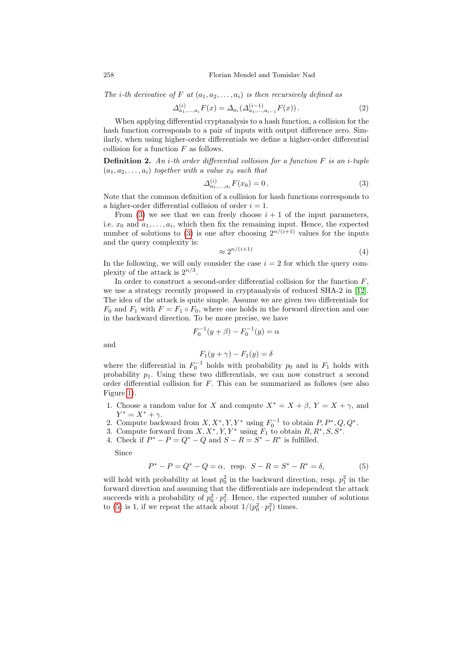The *i*-th derivative of F at  $(a_1, a_2, \ldots, a_i)$  is then recursively defined as

$$
\Delta_{a_1,\dots,a_i}^{(i)} F(x) = \Delta_{a_i}(\Delta_{a_1,\dots,a_{i-1}}^{(i-1)} F(x)).
$$
\n(2)

When applying differential cryptanalysis to a hash function, a collision for the hash function corresponds to a pair of inputs with output difference zero. Similarly, when using higher-order differentials we define a higher-order differential collision for a function  $F$  as follows.

**Definition 2.** An *i*-th order differential collision for a function  $F$  is an *i*-tuple  $(a_1, a_2, \ldots, a_i)$  together with a value  $x_0$  such that

$$
\Delta_{a_1,\dots,a_i}^{(i)} F(x_0) = 0.
$$
\n(3)

Note that the common definition of a collision for hash functions corresponds to a higher-order differential collision of order  $i = 1$ .

From (3) we see that we can freely choose  $i + 1$  of the input parameters, i.e.  $x_0$  and  $a_1, \ldots, a_i$ , which then fix the remaining input. Hence, the expected number of solutions to (3) is one after choosing  $2^{n/(i+1)}$  values for the inputs and the query complexity is:

$$
\approx 2^{n/(i+1)}\tag{4}
$$

In the following, we will only consider the case  $i = 2$  for which the query complexity of the attack is  $2^{n/3}$ .

In order to construct a second-order differential collision for the function  $F$ , we use a strategy recently proposed in cryptanalysis of reduced SHA-2 in [12]. The idea of the attack is quite simple. Assume we are given two differentials for  $F_0$  and  $F_1$  with  $F = F_1 \circ F_0$ , where one holds in the forward direction and one in the backward direction. To be more precise, we have

$$
F_0^{-1}(y + \beta) - F_0^{-1}(y) = \alpha
$$

and

$$
F_1(y + \gamma) - F_1(y) = \delta
$$

where the differential in  $F_0^{-1}$  holds with probability  $p_0$  and in  $F_1$  holds with probability  $p_1$ . Using these two differentials, we can now construct a second order differential collision for  $F$ . This can be summarized as follows (see also Figure 1).

- 1. Choose a random value for X and compute  $X^* = X + \beta$ ,  $Y = X + \gamma$ , and  $Y^* = X^* + \gamma.$
- 2. Compute backward from  $X, X^*, Y, Y^*$  using  $F_0^{-1}$  to obtain  $P, P^*, Q, Q^*$ .
- 3. Compute forward from  $X, X^*, Y, Y^*$  using  $F_1$  to obtain  $R, R^*, S, S^*$ .
- 4. Check if  $P^* P = Q^* Q$  and  $S R = S^* R^*$  is fulfilled.

Since

$$
P^* - P = Q^* - Q = \alpha, \text{ resp. } S - R = S^* - R^* = \delta,
$$
 (5)

will hold with probability at least  $p_0^2$  in the backward direction, resp.  $p_1^2$  in the forward direction and assuming that the differentials are independent the attack succeeds with a probability of  $p_0^2 \cdot p_1^2$ . Hence, the expected number of solutions to (5) is 1, if we repeat the attack about  $1/(p_0^2 \cdot p_1^2)$  times.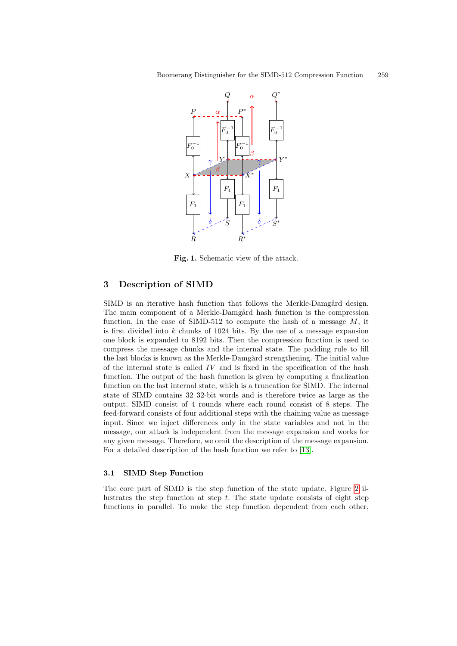

<span id="page-4-0"></span>Fig. 1. Schematic view of the attack.

# 3 Description of SIMD

SIMD is an iterative hash function that follows the Merkle-Damgård design. The main component of a Merkle-Damgård hash function is the compression function. In the case of SIMD-512 to compute the hash of a message  $M$ , it is first divided into  $k$  chunks of 1024 bits. By the use of a message expansion one block is expanded to 8192 bits. Then the compression function is used to compress the message chunks and the internal state. The padding rule to fill the last blocks is known as the Merkle-Damgård strengthening. The initial value of the internal state is called  $IV$  and is fixed in the specification of the hash function. The output of the hash function is given by computing a finalization function on the last internal state, which is a truncation for SIMD. The internal state of SIMD contains 32 32-bit wo[rds](#page-12-1) and is therefore twice as large as the output. SIMD consist of 4 rounds where each round consist of 8 steps. The feed-forward consists of four additional steps with the chaining value as message input. Since we inject differences only in the state variables and not in the message, our attack is independent from the message expansion and works for any given message. Therefore, we omit the description [of](#page-5-0) the message expansion. For a detailed description of the hash function we refer to [13].

## 3.1 SIMD Step Function

The core part of SIMD is the step function of the state update. Figure 2 illustrates the step function at step  $t$ . The state update consists of eight step functions in parallel. To make the step function dependent from each other,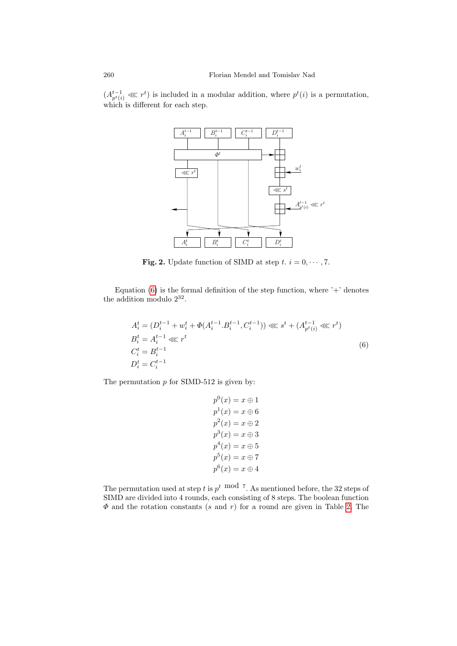$(A_{p^t(i)}^{t-1} \ll l^t)$  is included in a modular addition, where  $p^t(i)$  is a permutation, which is different for each step.



<span id="page-5-0"></span>**Fig. 2.** Update function of SIMD at step  $t, i = 0, \dots, 7$ .

Equation (6) is the formal definition of the step function, where  $+$  denotes the addition modulo  $2^{32}$ .

$$
A_i^t = (D_i^{t-1} + w_i^t + \Phi(A_i^{t-1} \cdot B_i^{t-1}, C_i^{t-1})) \lll s^t + (A_{p^t(i)}^{t-1} \lll r^t)
$$
  
\n
$$
B_i^t = A_i^{t-1} \lll r^t
$$
  
\n
$$
C_i^t = B_i^{t-1}
$$
  
\n
$$
D_i^t = C_i^{t-1}
$$
  
\n(6)

The permutation  $p$  for SIMD-512 is given by:

$$
p^{0}(x) = x \oplus 1
$$
  
\n
$$
p^{1}(x) = x \oplus 6
$$
  
\n
$$
p^{2}(x) = x \oplus 2
$$
  
\n
$$
p^{3}(x) = x \oplus 3
$$
  
\n
$$
p^{4}(x) = x \oplus 5
$$
  
\n
$$
p^{5}(x) = x \oplus 7
$$
  
\n
$$
p^{6}(x) = x \oplus 4
$$

The permutation used at step t is  $p^t \mod 7$ . As mentioned before, the 32 steps of SIMD are divided into 4 rounds, each consisting of 8 steps. The boolean function  $\Phi$  and the rotation constants (s and r) for a round are given in Table 2. The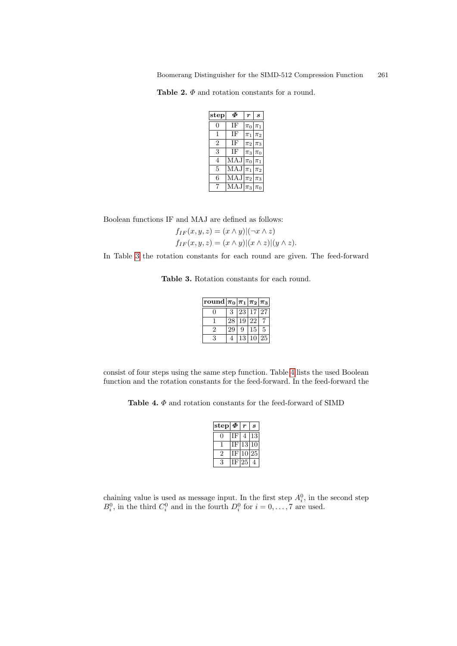Boomerang Distinguisher for the SIMD-512 Compression Function 261

Table 2.  $\varPhi$  and rotation constants for a round.

| step           | Ф   | $\boldsymbol{r}$ | S       |
|----------------|-----|------------------|---------|
| 0              | ΙF  | $\pi_0$          | $\pi_1$ |
| 1              | ΙF  | $\pi_1$          | $\pi_2$ |
| $\overline{2}$ | ΙF  | $\pi_2$          | $\pi_3$ |
| 3              | ΙF  | $\pi_3$          | $\pi_0$ |
| 4              | MAJ | $\pi_0$          | $\pi_1$ |
| 5              | MAJ | $\pi_1$          | $\pi_2$ |
| 6              | MAJ | $\pi_2$          | $\pi_3$ |
| 7              | MAJ | $\vert_{\pi_3}$  | $\pi_0$ |

Boolean functions IF and MAJ are defined as follows:

 $f_{IF}(x, y, z) = (x \wedge y)|(\neg x \wedge z)$  $f_{IF}(x, y, z) = (x \wedge y)|(x \wedge z)|(y \wedge z).$ 

In Table 3 the rotation constants for each round are given. The feed-forward

Table 3. Rotation constants for each round.

| round $ \pi_0 \pi_1 \pi_2 \pi_3$ |    |    |          |    |
|----------------------------------|----|----|----------|----|
|                                  | 3  |    | 23 17 27 |    |
|                                  | 28 | 19 | -22      |    |
| 2                                | 29 | 9  | 15       | 5  |
| 3                                |    | 13 |          | 25 |

consist of four steps using the same step function. Table 4 lists the used Boolean function and the rotation constants for the feed-forward. In the feed-forward the

Table 4.  $\Phi$  and rotation constants for the feed-forward of SIMD

| step | $\boldsymbol{\varPhi}$ |    | S  |
|------|------------------------|----|----|
|      |                        |    | 13 |
|      |                        | 13 |    |
| 2    |                        |    |    |
| 9    |                        |    |    |

chaining value is used as message input. In the first step  $A_i^0$ , in the second step  $B_i^0$ , in the third  $C_i^0$  and in the fourth  $D_i^0$  for  $i = 0, \ldots, 7$  are used.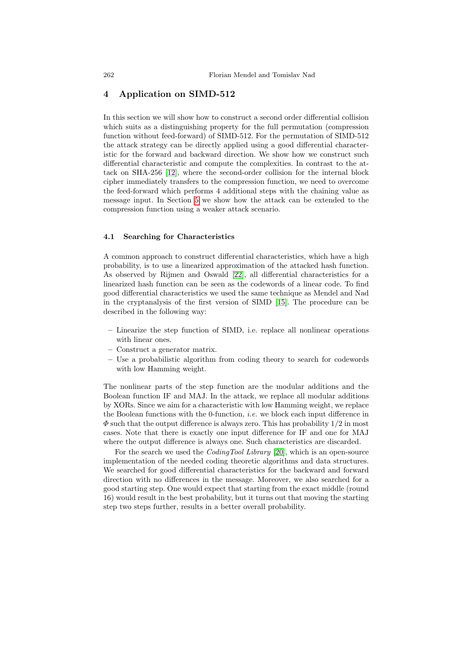## 4 Application on SIMD-512

[I](#page-12-10)n this section we will show how to construct a second order differential collision which suits as a distinguishing property for the full permutation (compression function without feed-forward) of SIMD-512. For the permutation of SIMD-512 the a[tta](#page-9-0)ck strategy can be directly applied using a good differential characteristic for the forward and backward direction. We show how we construct such differential characteristic and compute the complexities. In contrast to the attack on SHA-256 [12], where the second-order collision for the internal block cipher immediately transfers to the compression function, we need to overcome the feed-forward which performs 4 additional steps with the chaining value as message input. In Section 5 we show how the attack can be extended to the compression function using a weaker attack scenario.

#### 4.1 Searching for Characteristics

A common approach to constr[uct](#page-12-11) differential characteristics, which have a high probability, is to use a linearized approximation of the attacked hash function. As observed by Rijmen and Oswald [22], all differential characteristics for a linearized hash function can be seen as the codewords of a linear code. To find good differential characteristics we used the same technique as Mendel and Nad in the cryptanalysis of the first version of SIMD [15]. The procedure can be described in the following way:

- Linearize the step function of SIMD, i.e. replace all nonlinear operations with linear ones.
- Construct a generator matrix.
- Use a probabilistic algorithm from coding theory to search for codewords with low Hamming weight.

The nonlinear parts of the step function are the modular additions and the Boolean function IF and MA[J. In](#page-13-6) the attack, we replace all modular additions by XORs. Since we aim for a characteristic with low Hamming weight, we replace the Boolean functions with the 0-function, *i.e.* we block each input difference in  $\Phi$  such that the output difference is always zero. This has probability  $1/2$  in most cases. Note that there is exactly one input difference for IF and one for MAJ where the output difference is always one. Such characteristics are discarded.

For the search we used the CodingTool Library [20], which is an open-source implementation of the needed coding theoretic algorithms and data structures. We searched for good differential characteristics for the backward and forward direction with no differences in the message. Moreover, we also searched for a good starting step. One would expect that starting from the exact middle (round 16) would result in the best probability, but it turns out that moving the starting step two steps further, results in a better overall probability.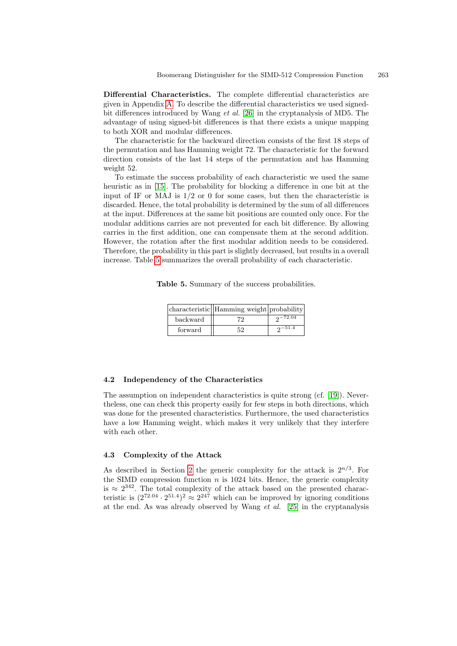<span id="page-8-0"></span>Differential Characteristics. The complete differential characteristics are given in Appendix A. To describe the differential characteristics we used signedbit differences introduced by Wang et al. [26] in the cryptanalysis of MD5. The advantage of using signed-bit differences is that there exists a unique mapping to both XOR and modular differences.

The characteristic for the backward direction consists of the first 18 steps of the permutation and has Hamming weight 72. The characteristic for the forward direction consists of the last 14 steps of the permutation and has Hamming weight 52.

To estimate the success probability of each characteristic we used the same heuristic as in [15]. The probability for blocking a difference in one bit at the input of IF or MAJ is  $1/2$  or 0 for some cases, but then the characteristic is discarded. Hence, the total probability is determined by the sum of all differences at the input. Differences at the same bit positions are counted only once. For the modular additions carries are not prevented for each bit difference. By allowing carries in the first addition, one can compensate them at the second addition. However, the rotation after the first modular addition needs to be considered. Therefore, the probability in this part is slightly decreased, but results in a overall increase. Table 5 summarizes the overall probability of each characteristic.

Table 5. Summary of the success probabilities.

|          | characteristic Hamming weight probability |                  |
|----------|-------------------------------------------|------------------|
| backward | 79.                                       | $2^{\sim}$ 72.04 |
| forward  | 52                                        | $2 - 51.4$       |

#### 4.2 Independency of the Characteristics

The assumption on independent characteristics is quite strong (cf. [19]). Nevertheless, one can check this property easily for few steps in both directions, which was [do](#page-2-0)ne for the presented characteristics. Furthermore, the used characteristics have a low Hamming weight, which makes it very unlikely that they interfere with each other.

#### 4.3 Complexity of the Attac[k](#page-13-7)

As described in Section 2 the generic complexity for the attack is  $2^{n/3}$ . For the SIMD compression function  $n$  is 1024 bits. Hence, the generic complexity is  $\approx 2^{342}$ . The total complexity of the attack based on the presented characteristic is  $(2^{72.04} \cdot 2^{51.4})^2 \approx 2^{247}$  which can be improved by ignoring conditions at the end. As was already observed by Wang  $et \ al.$  [25] in the cryptanalysis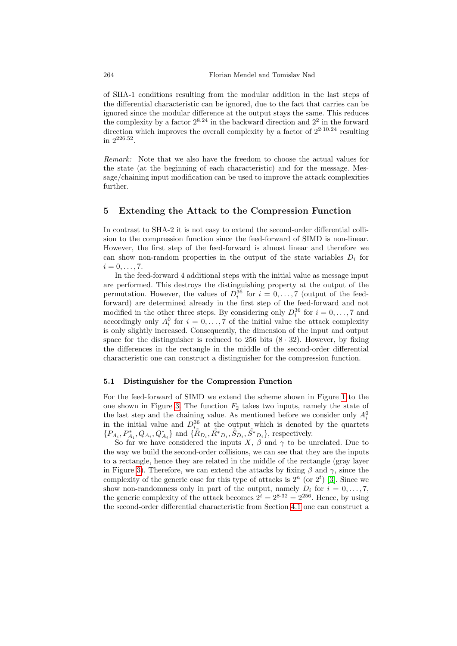of SHA-1 conditions resulting from the modular addition in the last steps of the differential characteristic can be ignored, due to the fact that carries can be ignored since the modular difference at the output stays the same. This reduces the complexity by a factor  $2^{8.24}$  in the backward direction and  $2^2$  in the forward direction which improves the overall complexity by a factor of  $2^{2 \cdot 10.24}$  resulting in 2226.<sup>52</sup> .

<span id="page-9-0"></span>Remark: Note that we also have the freedom to choose the actual values for the state (at the beginning of each characteristic) and for the message. Message/chaining input modification can be used to improve the attack complexities further.

#### 5 Extending the Attack to the Compression Function

In contrast to SHA-2 it is not easy to extend the second-order differential collision to the compression function since the feed-forward of SIMD is non-linear. However, the first step of the feed-forward is almost linear and therefore we can show non-random properties in the output of the state variables  $D_i$  for  $i=0,\ldots,7$ .

In the feed-forward 4 additional steps with the initial value as message input are performed. This destroys the distinguishing property at the output of the permutation. However, the values of  $D_i^{36}$  for  $i = 0, \ldots, 7$  (output of the feedforward) are determined already in the first step of the feed-forward and not modified in the other three steps. By considering only  $D_i^{36}$  for  $i = 0, \ldots, 7$  and accordingly only  $A_i^0$  for  $i = 0, \ldots, 7$  of the initial value the attack complexity is only slightly increased. Consequently, the dimension of the input and output space for the distinguisher is reduced to  $256$  bits  $(8 \cdot 32)$ . However, by fixing the differences in the rectangle in the middle of [t](#page-4-0)he second-order differential [ch](#page-10-0)aracteristic one can construct a distinguisher for the compression function.

#### 5.1 Distinguisher for the Compression Function

For the feed-forward of SIMD we extend the scheme shown in Figure 1 to the one shown in Figure 3. The function  $F_2$  takes two inputs, namely the state of the last step and the chaining value. As mentioned before we consider only  $A_i^0$ in the initial value and  $D_i^{36}$  at the output [wh](#page-12-3)ich is denoted by the quartets  $\{P_{A_i}, P_{A_i}^*, Q_{A_i}, Q_{A_i}^*\}$  and  $\{\tilde{R}_{D_i}, \tilde{R}_{D_i}, \tilde{S}_{D_i}, \tilde{S}_{D_i}\}$ , respectively.

So far we have considered the inputs X,  $\beta$  and  $\gamma$  to be unrelated. Due to the way we build the second-order [colli](#page-8-0)sions, we can see that they are the inputs to a rectangle, hence they are related in the middle of the rectangle (gray layer in Figure 3). Therefore, we can extend the attacks by fixing  $\beta$  and  $\gamma$ , since the complexity of the generic case for this type of attacks is  $2^n$  (or  $2^t$ ) [3]. Since we show non-randomness only in part of the output, namely  $D_i$  for  $i = 0, \ldots, 7$ , the generic complexity of the attack becomes  $2^t = 2^{8 \cdot 32} = 2^{256}$ . Hence, by using the second-order differential characteristic from Section 4.1 one can construct a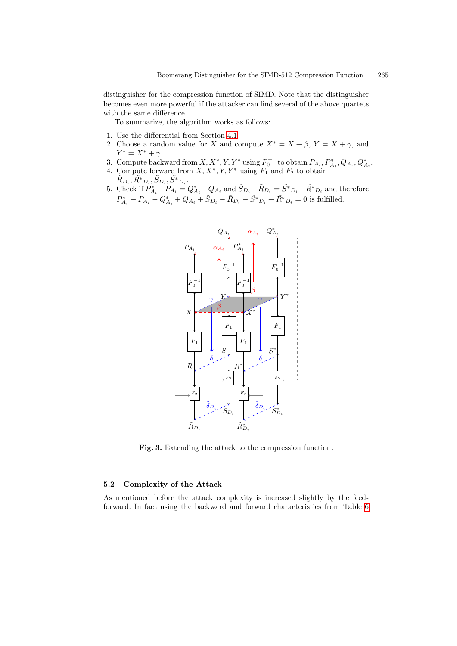distinguisher for the compression function of SIMD. Note that the distinguisher becomes even more powerful if the attacker can find several of the above quartets with the same difference.

To summarize, the algorithm works as follows:

- 1. Use the differential from Section 4.1
- 2. Choose a random value for X and compute  $X^* = X + \beta$ ,  $Y = X + \gamma$ , and  $Y^* = X^* + \gamma.$
- 3. Compute backward from  $X, X^*, Y, Y^*$  using  $F_0^{-1}$  to obtain  $P_{A_i}, P_{A_i}^*, Q_{A_i}, Q_{A_i}^*$
- 4. Compute forward from  $X, X^*, Y, Y^*$  using  $F_1$  and  $F_2$  to obtain  $\tilde{R}_{D_i}, \tilde{R^*}_{D_i}, \tilde{S}_{D_i}, \tilde{S^*}_{D_i}.$
- 5. Check if  $P_{A_i}^* P_{A_i} = Q_{A_i}^* Q_{A_i}$  and  $\tilde{S}_{D_i} \tilde{R}_{D_i} = \tilde{S}^*_{D_i} \tilde{R}^*_{D_i}$  and therefore  $P_{A_i}^* - P_{A_i} - Q_{A_i}^* + Q_{A_i} + \tilde{S}_{D_i} - \tilde{R}_{D_i} - \tilde{S}^*_{D_i} + \tilde{R}^*_{D_i} = 0$  is fulfilled.



<span id="page-10-0"></span>Fig. 3. Extending the attack to the compressi[on](#page-14-0) function.

#### 5.2 Complexity of the Attack

As mentioned before the attack complexity is increased slightly by the feedforward. In fact using the backward and forward characteristics from Table 6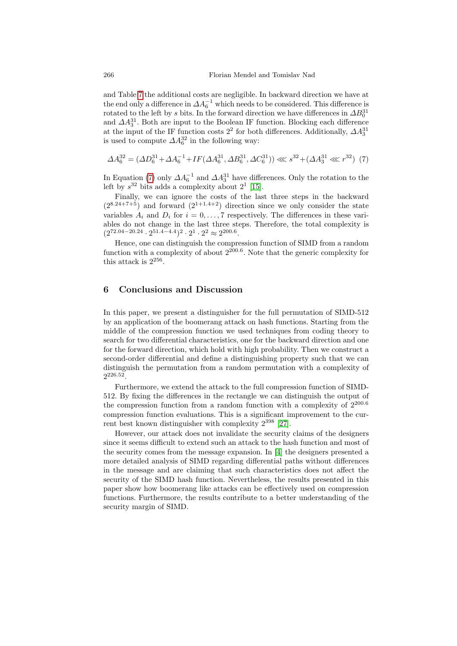and Table 7 the additional costs are negligible. In backward direction we have at the end only a difference in  $\Delta A_6^{-1}$  which needs to be considered. This difference is rotated to the left by s bits. In the forward direction we have differences in  $\Delta B_0^{31}$ and  $\Delta A_3^{31}$ . Both are input to the Boolean IF function. Blocking each difference at the input of the IF f[unc](#page-12-11)tion costs  $2^2$  for both differences. Additionally,  $\Delta A_3^{31}$ is used to compute  $\Delta A_6^{32}$  in the following way:

$$
\Delta A_6^{32} = (\Delta D_6^{31} + \Delta A_6^{-1} + IF(\Delta A_6^{31}, \Delta B_6^{31}, \Delta C_6^{31})) \ll 3^{32} + (\Delta A_3^{31} \ll 3^{32})
$$
 (7)

In Equation (7) only  $\Delta A_6^{-1}$  and  $\Delta A_3^{31}$  have differences. Only the rotation to the left by  $s^{32}$  bits adds a complexity about  $2^1$  [15].

Finally, we can ignore the costs of the last three steps in the backward  $(2^{8.24+7+5})$  and forward  $(2^{1+1.4+2})$  direction since we only consider the state variables  $A_i$  and  $D_i$  for  $i = 0, \ldots, 7$  respectively. The differences in these variables do not change in the last three steps. Therefore, the total complexity is  $(2^{72.04-20.24} \cdot 2^{51.4-4.4})^2 \cdot 2^1 \cdot 2^2 \approx 2^{200.6}.$ 

<span id="page-11-0"></span>Hence, one can distinguish the compression function of SIMD from a random function with a complexity of about  $2^{200.6}$ . Note that the generic complexity for this attack is  $2^{256}$ .

### 6 Conclusions and Discussion

In this paper, we present a distinguisher for the full permutation of SIMD-512 by an application of the boomerang attack on hash functions. Starting from the middle of the compression function we used techniques from coding theory to search for two differential characteristics, one for the backward direction and one for the forward direction, which hold with high probability. Then we construct a second-order differential and define a distinguishing property such that we can distinguish the permutation fr[om](#page-13-2) a random permutation with a complexity of  $2^{226.52}$ .

Furthermore, we extend the attack to the full compression function of SIMD-512. By fixing the differences [in](#page-12-0) the rectangle we can distinguish the output of the compression function from a random function with a complexity of  $2^{200.6}$ compression function evaluations. This is a significant improvement to the current best known distinguisher with complexity  $2^{398}$  [27].

However, our attack does not invalidate the security claims of the designers since it seems difficult to extend such an attack to the hash function and most of the security comes from the message expansion. In [4] the designers presented a more detailed analysis of SIMD regarding differential paths without differences in the message and are claiming that such characteristics does not affect the security of the SIMD hash function. Nevertheless, the results presented in this paper show how boomerang like attacks can be effectively used on compression functions. Furthermore, the results contribute to a better understanding of the security margin of SIMD.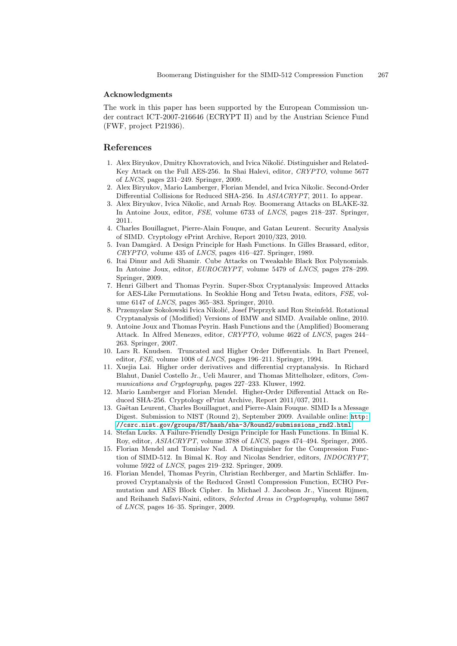#### Acknowledgments

The work in this paper has been supported by the European Commission under contract ICT-2007-216646 (ECRYPT II) and by the Austrian Science Fund (FWF, project P21936).

## <span id="page-12-3"></span>References

- 1. Alex Biryukov, Dmitry Khovratovich, and Ivica Nikolić. Distinguisher and Related-Key Attack on the Full AES-256. In Shai Halevi, editor, CRYPTO, volume 5677 of LNCS, pages 231–249. Springer, 2009.
- <span id="page-12-2"></span><span id="page-12-0"></span>2. Alex Biryukov, Mario Lamberger, Florian Mendel, and Ivica Nikolic. Second-Order Differential Collisions for Reduced SHA-256. In ASIACRYPT, 2011. Io appear.
- <span id="page-12-7"></span>3. Alex Biryukov, Ivica Nikolic, and Arnab Roy. Boomerang Attacks on BLAKE-32. In Antoine Joux, editor, FSE, volume 6733 of LNCS, pages 218–237. Springer, 2011.
- <span id="page-12-8"></span>4. Charles Bouillaguet, Pierre-Alain Fouque, and Gatan Leurent. Security Analysis of SIMD. Cryptology ePrint Archive, Report 2010/323, 2010.
- 5. Ivan Damgård. A Design Principle for Hash Functions. In Gilles Brassard, editor,  $CRYPTO$ , volume 435 of  $LNCS$ , pages 416–427. Springer, 1989.
- <span id="page-12-4"></span>6. Itai Dinur and Adi Shamir. Cube Attacks on Tweakable Black Box Polynomials. In Antoine Joux, editor, EUROCRYPT, volume 5479 of LNCS, pages 278–299. Springer, 2009.
- <span id="page-12-6"></span>7. Henri Gilbert and Thomas Peyrin. Super-Sbox Cryptanalysis: Improved Attacks for AES-Like Permutations. In Seokhie Hong and Tetsu Iwata, editors, FSE, volume 6147 of LNCS, pages 365–383. Springer, 2010.
- <span id="page-12-5"></span>8. Przemyslaw Sokolowski Ivica Nikolić, Josef Pieprzyk and Ron Steinfeld. Rotational Cryptanalysis of (Modified) Versions of BMW and SIMD. Available online, 2010.
- 9. Antoine Joux and Thomas Peyrin. Hash Functions and the (Amplified) Boomerang Attack. In Alfred Menezes, editor, CRYPTO, volume 4622 of LNCS, pages 244– 263. Springer, 2007.
- <span id="page-12-10"></span><span id="page-12-1"></span>10. Lars R. Knudsen. Truncated and Higher Order Differentials. In Bart Preneel, editor, FSE, volume 1008 of LNCS, pages 196–211. Springer, 1994.
- 11. Xuejia Lai. Higher order derivatives and differenti[al cryp](http://csrc.nist.gov/groups/ST/hash/sha-3/Round2/submissions_rnd2.html)tanalysis. In Richard [Blahut, Daniel Costello Jr., Ueli Maurer, and Thomas](http://csrc.nist.gov/groups/ST/hash/sha-3/Round2/submissions_rnd2.html) Mittelholzer, editors, Communications and Cryptography, pages 227–233. Kluwer, 1992.
- <span id="page-12-11"></span>12. Mario Lamberger and Florian Mendel. Higher-Order Differential Attack on Reduced SHA-256. Cryptology ePrint Archive, Report 2011/037, 2011.
- 13. Gaëtan Leurent, Charles Bouillaguet, and Pierre-Alain Fouque. SIMD Is a Message Digest. Submission to NIST (Round 2), September 2009. Available online: http: //csrc.nist.gov/groups/ST/hash/sha-3/Round2/submissions\_rnd2.html.
- <span id="page-12-9"></span>14. Stefan Lucks. A Failure-Friendly Design Principle for Hash Functions. In Bimal K. Roy, editor, ASIACRYPT, volume 3788 of LNCS, pages 474–494. Springer, 2005.
- 15. Florian Mendel and Tomislav Nad. A Distinguisher for the Compression Function of SIMD-512. In Bimal K. Roy and Nicolas Sendrier, editors, INDOCRYPT, volume 5922 of LNCS, pages 219–232. Springer, 2009.
- 16. Florian Mendel, Thomas Peyrin, Christian Rechberger, and Martin Schläffer. Improved Cryptanalysis of the Reduced Grøstl Compression Function, ECHO Permutation and AES Block Cipher. In Michael J. Jacobson Jr., Vincent Rijmen, and Reihaneh Safavi-Naini, editors, Selected Areas in Cryptography, volume 5867 of LNCS, pages 16–35. Springer, 2009.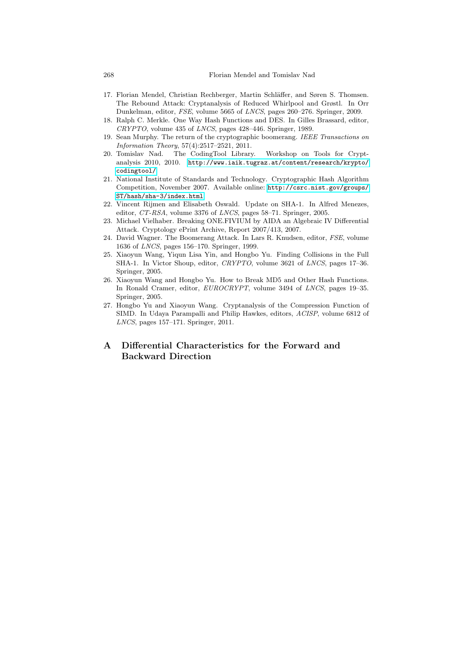- <span id="page-13-6"></span><span id="page-13-5"></span><span id="page-13-1"></span>17. Florian Mendel, Christian Rechberger, Martin Schläffer, and Søren S. Thomsen. The Rebound Attack: Cryptanalysis of Reduced Whirlpool and Grøstl. In Orr [Dunkelman, editor,](http://www.iaik.tugraz.at/content/research/krypto/codingtool/) FSE, volume 5665 of LNCS, pages 260–276. Springer, 2009.
- <span id="page-13-0"></span>18. Ralph C. Merkle. One Way Hash Functions and DES. In Gilles Brassard, editor, CRYPTO, volume 435 of LNCS, pages 428–446. Springer, 1989.
- 19. Sean Murphy. The return [of the cryptographic boomerang.](http://csrc.nist.gov/groups/ST/hash/sha-3/index.html) IEEE Transactions on [Inform](http://csrc.nist.gov/groups/ST/hash/sha-3/index.html)ation Theory, 57(4):2517–2521, 2011.
- 20. Tomislav Nad. The CodingTool Library. Workshop on Tools for Cryptanalysis 2010, 2010. http://www.iaik.tugraz.at/content/research/krypto/ codingtool/.
- <span id="page-13-4"></span><span id="page-13-3"></span>21. National Institute of Standards and Technology. Cryptographic Hash Algorithm Competition, November 2007. Available online: http://csrc.nist.gov/groups/ ST/hash/sha-3/index.html.
- <span id="page-13-7"></span>22. Vincent Rijmen and Elisabeth Oswald. Update on SHA-1. In Alfred Menezes, editor, CT-RSA, volume 3376 of LNCS, pages 58–71. Springer, 2005.
- 23. Michael Vielhaber. Breaking ONE.FIVIUM by AIDA an Algebraic IV Differential Attack. Cryptology ePrint Archive, Report 2007/413, 2007.
- 24. David Wagner. The Boomerang Attack. In Lars R. Knudsen, editor, FSE, volume 1636 of LNCS, pages 156–170. Springer, 1999.
- <span id="page-13-2"></span>25. Xiaoyun Wang, Yiqun Lisa Yin, and Hongbo Yu. Finding Collisions in the Full SHA-1. In Victor Shoup, editor, CRYPTO, volume 3621 of LNCS, pages 17–36. Springer, 2005.
- 26. Xiaoyun Wang and Hongbo Yu. How to Break MD5 and Other Hash Functions. In Ronald Cramer, editor, EUROCRYPT, volume 3494 of LNCS, pages 19–35. Springer, 2005.
- 27. Hongbo Yu and Xiaoyun Wang. Cryptanalysis of the Compression Function of SIMD. In Udaya Parampalli and Philip Hawkes, editors, ACISP, volume 6812 of LNCS, pages 157–171. Springer, 2011.

# A Differential Characteristics for the Forward and Backward Direction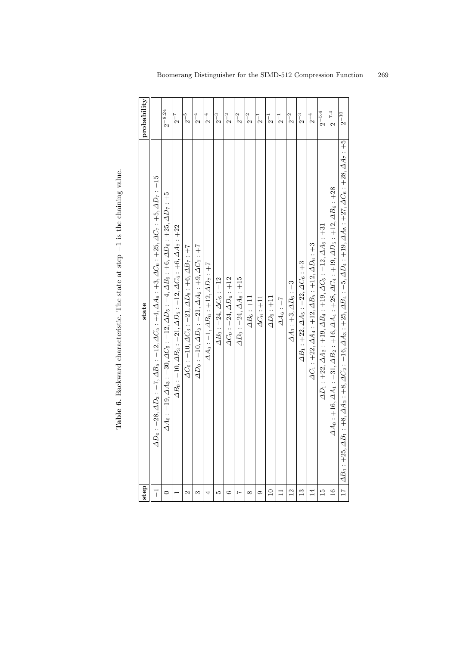| )<br>$\overline{a}$                      |
|------------------------------------------|
| $\sim$ $\sim$ $\sim$<br>$100 \t{cm}$     |
| $\overline{\phantom{a}}$                 |
| l<br>とりり                                 |
|                                          |
| atata at atan                            |
| ;<br>;<br>;<br>j                         |
| i<br>S<br>l                              |
| ֧֖֖֖֖֧֚֚֚֚֚֚֚֚֚֚֚֚֚֚֚֚֚֚֚֚֚֚֚֝֓ <b>֓</b> |
|                                          |
| <b>This 2</b><br>$\frac{1}{2}$           |

<span id="page-14-0"></span>

| step            | state                                                                                                                                                                           | probability        |
|-----------------|---------------------------------------------------------------------------------------------------------------------------------------------------------------------------------|--------------------|
| $\overline{1}$  | $D_0: -28, \Delta D_3: -7, \Delta B_5: -12, \Delta C_5: +4, \Delta A_6: +3, \Delta C_6: +25, \Delta C_7: +5, \Delta D_7: -15$                                                   |                    |
| 0               | $\Delta A_0$ : -19, $\Delta A_3$ : -30, $\Delta C_5$ : -12, $\Delta D_5$ : +4, $\Delta B_6$ : +6, $\Delta D_6$ : +25, $\Delta D_7$ : +5                                         | $2^{-8.24}$        |
|                 | $\Delta B_0: -10, \Delta B_3: -21, \Delta D_5: -12, \Delta C_6: +6, \Delta A_7: +22$                                                                                            | $2^{-7}$           |
| Z               | $\Delta C_0$ : $-10$ , $\Delta C_3$ : $-21$ , $\Delta D_6$ : $+6$ , $\Delta B_7$ : $+7$                                                                                         | $2^{-5}$           |
| S               | $\Delta D_0$ : $-10, \Delta D_3$ : $-21, \Delta A_6$ : $+9, \Delta C_7$ : $+7$                                                                                                  | $2^{-4}$           |
| 4               | $\Delta A_0: -1, \Delta B_6: +12, \Delta D_7: +7$                                                                                                                               | $2^{-4}$           |
| S               | $\Delta B_0: -24, \Delta C_6: +12$                                                                                                                                              | $2^{-3}$           |
| 6               | $\Delta C_0$ : $-24, \Delta D_6$ : $+12$                                                                                                                                        | $2^{-2}$           |
| Ņ               | $\Delta D_0: -24, \Delta A_6: +15$                                                                                                                                              | $2^{-2}$           |
| $^{\infty}$     | $\Delta B_6$ : $+11$                                                                                                                                                            | $2^{-2}$           |
| 0               | $\Delta C_6$ : +11                                                                                                                                                              | $\frac{1}{2}$      |
| $\Xi$           | $\Delta D_6$ : +11                                                                                                                                                              | $_{2}^{-1}$        |
| $\Box$          | $\Delta A_6 : +7$                                                                                                                                                               | $2^{-1}$           |
| $\overline{12}$ | $\Delta A_1$ : +3, $\Delta B_6$ : +3                                                                                                                                            | $2^{-2}$           |
| $\mathbf{r}$    | $\Delta B_1$ : +22, $\Delta A_5$ : +22, $\Delta C_6$ : +3                                                                                                                       | $2^{\mathrm{-}3}$  |
| $\overline{14}$ | $\Delta C_1$ : +22, $\Delta A_4$ : +12, $\Delta B_5$ : +12, $\Delta D_6$ : +3                                                                                                   | $2^{-4}$           |
| $\frac{5}{1}$   | $\Delta D_1$ : $+22, \Delta A_2$ : $+19, \Delta B_4$ : $+19, \Delta C_5$ : $+12, \Delta A_6$ : $+31$                                                                            | $2^{-5.4}\,$       |
| $\frac{6}{1}$   | $\Delta A_0$ : +16, $\Delta A_1$ : +31, $\Delta B_2$ : +16, $\Delta A_4$ : +28, $\Delta C_4$ : +19, $\Delta D_5$ : +12, $\Delta B_6$ : +28                                      | $2^{-7.4}$         |
| $\overline{11}$ | $\Delta B_0$ : +25, $\Delta B_1$ : +8, $\Delta A_2$ : +8, $\Delta C_2$ : +16, $\Delta A_3$ : +25, $\Delta B_4$ : +19, $\Delta A_5$ : +27, $\Delta C_6$ : +28, $\Delta A_7$ : +5 | $2^{\mathrm{-10}}$ |